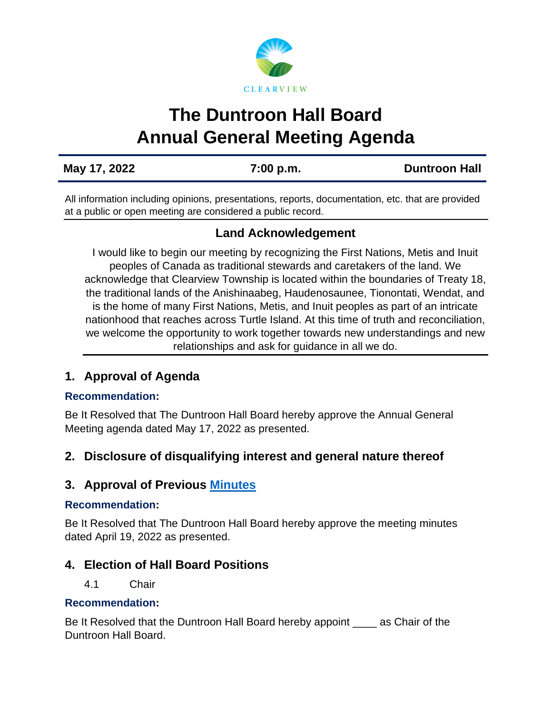# **The Duntroon Hall Board Annual General Meeting Agenda**

**May 17, 2022 7:00 p.m. [Duntroon](https://us02web.zoom.us/j/81571021054) Hall**

All information including opinions, presentations, reports, documentation, etc. that are provided at a public or open meeting are considered a public record.

# **Land Acknowledgement**

I would like to begin our meeting by recognizing the First Nations, Metis and Inuit peoples of Canada as traditional stewards and caretakers of the land. We acknowledge that Clearview Township is located within the boundaries of Treaty 18, the traditional lands of the Anishinaabeg, Haudenosaunee, Tionontati, Wendat, and is the home of many First Nations, Metis, and Inuit peoples as part of an intricate nationhood that reaches across Turtle Island. At this time of truth and reconciliation, we welcome the opportunity to work together towards new understandings and new relationships and ask for guidance in all we do.

# **1. Approval of Agenda**

## **Recommendation:**

Be It Resolved that The Duntroon Hall Board hereby approve the Annual General Meeting agenda dated May 17, 2022 as presented.

# **2. Disclosure of disqualifying interest and general nature thereof**

# **3. Approval of Previous [Minutes](https://www.clearview.ca/sites/default/files/uploads/publications/2022-04-19_duntroon_hall_board_minutes.pdf)**

## **Recommendation:**

Be It Resolved that The Duntroon Hall Board hereby approve the meeting minutes dated April 19, 2022 as presented.

# **4. Election of Hall Board Positions**

## 4.1 Chair

## **Recommendation:**

Be It Resolved that the Duntroon Hall Board hereby appoint \_\_\_\_ as Chair of the Duntroon Hall Board.